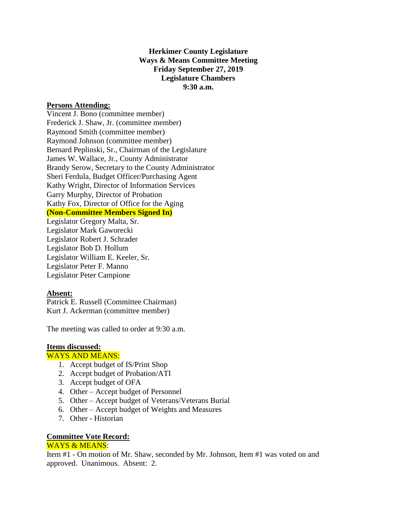# **Herkimer County Legislature Ways & Means Committee Meeting Friday September 27, 2019 Legislature Chambers 9:30 a.m.**

## **Persons Attending:**

Vincent J. Bono (committee member) Frederick J. Shaw, Jr. (committee member) Raymond Smith (committee member) Raymond Johnson (committee member) Bernard Peplinski, Sr., Chairman of the Legislature James W. Wallace, Jr., County Administrator Brandy Serow, Secretary to the County Administrator Sheri Ferdula, Budget Officer/Purchasing Agent Kathy Wright, Director of Information Services Garry Murphy, Director of Probation Kathy Fox, Director of Office for the Aging **(Non-Committee Members Signed In)**

Legislator Gregory Malta, Sr. Legislator Mark Gaworecki Legislator Robert J. Schrader Legislator Bob D. Hollum Legislator William E. Keeler, Sr. Legislator Peter F. Manno Legislator Peter Campione

### **Absent:**

Patrick E. Russell (Committee Chairman) Kurt J. Ackerman (committee member)

The meeting was called to order at 9:30 a.m.

### **Items discussed:**

#### WAYS AND MEANS:

- 1. Accept budget of IS/Print Shop
- 2. Accept budget of Probation/ATI
- 3. Accept budget of OFA
- 4. Other Accept budget of Personnel
- 5. Other Accept budget of Veterans/Veterans Burial
- 6. Other Accept budget of Weights and Measures
- 7. Other Historian

#### **Committee Vote Record:**

#### WAYS & MEANS:

Item #1 - On motion of Mr. Shaw, seconded by Mr. Johnson, Item #1 was voted on and approved. Unanimous. Absent: 2.